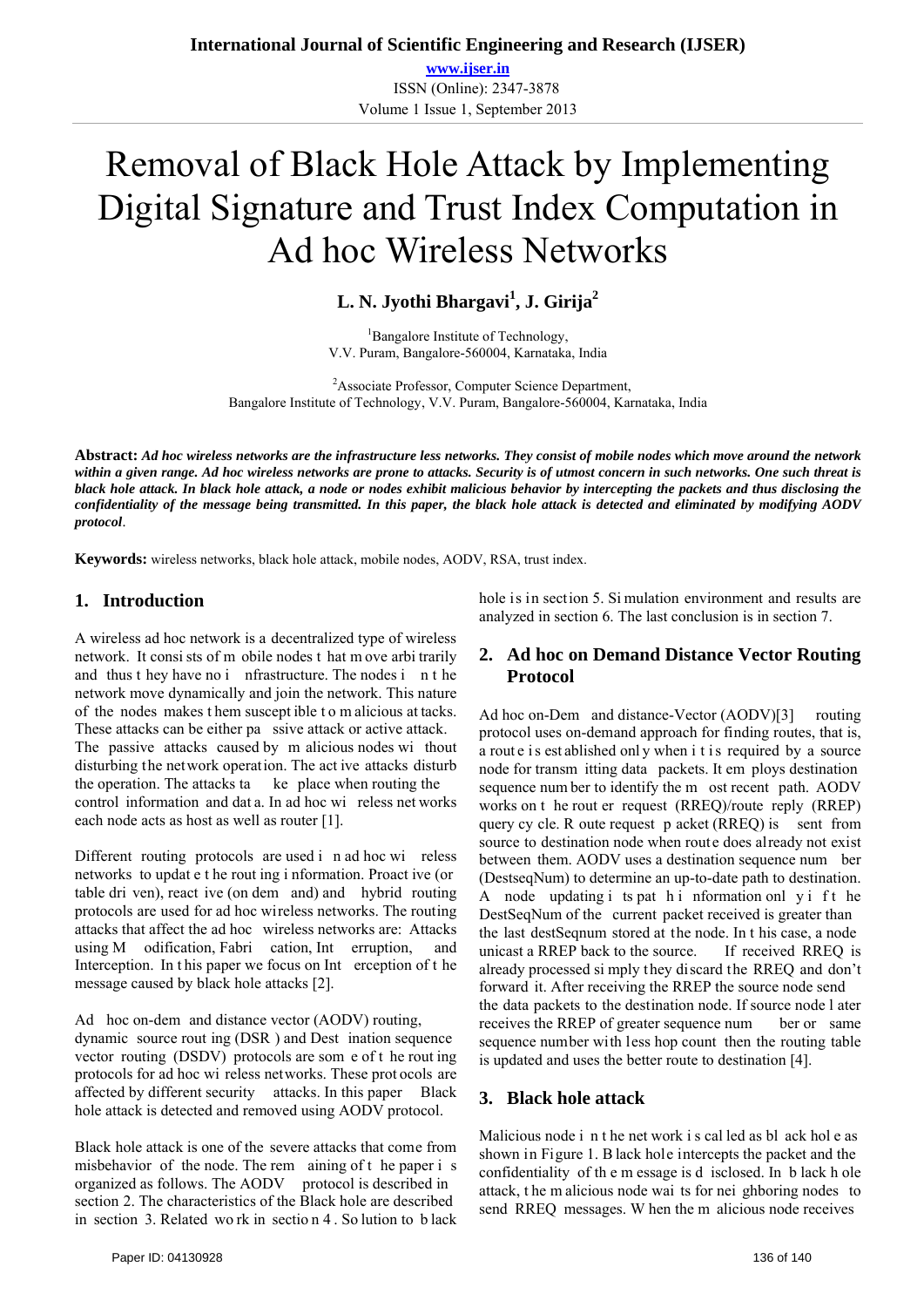**www.ijser.in** ISSN (Online): 2347-3878 Volume 1 Issue 1, September 2013

# Removal of Black Hole Attack by Implementing Digital Signature and Trust Index Computation in Ad hoc Wireless Networks

# **L. N. Jyothi Bhargavi<sup>1</sup> , J. Girija<sup>2</sup>**

<sup>1</sup>Bangalore Institute of Technology, V.V. Puram, Bangalore-560004, Karnataka, India

<sup>2</sup>Associate Professor, Computer Science Department, Bangalore Institute of Technology, V.V. Puram, Bangalore-560004, Karnataka, India

**Abstract:** *Ad hoc wireless networks are the infrastructure less networks. They consist of mobile nodes which move around the network within a given range. Ad hoc wireless networks are prone to attacks. Security is of utmost concern in such networks. One such threat is black hole attack. In black hole attack, a node or nodes exhibit malicious behavior by intercepting the packets and thus disclosing the confidentiality of the message being transmitted. In this paper, the black hole attack is detected and eliminated by modifying AODV protocol*.

**Keywords:** wireless networks, black hole attack, mobile nodes, AODV, RSA, trust index.

#### **1. Introduction**

A wireless ad hoc network is a decentralized type of wireless network. It consi sts of m obile nodes t hat m ove arbi trarily and thus t hey have no i nfrastructure. The nodes i n t he network move dynamically and join the network. This nature of the nodes makes t hem suscept ible t o m alicious at tacks. These attacks can be either pa ssive attack or active attack. The passive attacks caused by m alicious nodes wi thout disturbing the network operation. The act ive attacks disturb the operation. The attacks ta ke place when routing the control information and dat a. In ad hoc wi reless net works each node acts as host as well as router [1].

Different routing protocols are used i n ad hoc wi reless networks to updat e t he rout ing i nformation. Proact ive (or table dri ven), react ive (on dem and) and hybrid routing protocols are used for ad hoc wireless networks. The routing attacks that affect the ad hoc wireless networks are: Attacks using M odification, Fabri cation, Int erruption, and Interception. In this paper we focus on Int erception of the message caused by black hole attacks [2].

Ad hoc on-dem and distance vector (AODV) routing,

dynamic source rout ing (DSR ) and Dest ination sequence vector routing (DSDV) protocols are som e of t he rout ing protocols for ad hoc wi reless networks. These prot ocols are affected by different security attacks. In this paper Black hole attack is detected and removed using AODV protocol.

Black hole attack is one of the severe attacks that come from misbehavior of the node. The rem aining of t he paper i s organized as follows. The AODV protocol is described in section 2. The characteristics of the Black hole are described in section 3. Related wo rk in sectio n 4 . So lution to b lack hole is in section 5. Si mulation environment and results are analyzed in section 6. The last conclusion is in section 7.

#### **2. Ad hoc on Demand Distance Vector Routing Protocol**

Ad hoc on-Dem and distance-Vector (AODV)[3] routing protocol uses on-demand approach for finding routes, that is, a route is est ablished only when it is required by a source node for transm itting data packets. It em ploys destination sequence num ber to identify the m ost recent path. AODV works on t he rout er request (RREQ)/route reply (RREP) query cy cle. R oute request p acket (RREQ) is sent from source to destination node when route does already not exist between them. AODV uses a destination sequence num ber (DestseqNum) to determine an up-to-date path to destination. A node updating i ts pat h i nformation onl y i f t he DestSeqNum of the current packet received is greater than the last destSeqnum stored at the node. In t his case, a node unicast a RREP back to the source. If received RREQ is already processed si mply they discard the RREQ and don't forward it. After receiving the RREP the source node send the data packets to the destination node. If source node l ater receives the RREP of greater sequence num ber or same sequence number with less hop count then the routing table is updated and uses the better route to destination [4].

#### **3. Black hole attack**

Malicious node i n t he net work i s cal led as bl ack hol e as shown in Figure 1. B lack hole intercepts the packet and the confidentiality of th e m essage is d isclosed. In b lack h ole attack, t he m alicious node wai ts for nei ghboring nodes to send RREQ messages. W hen the m alicious node receives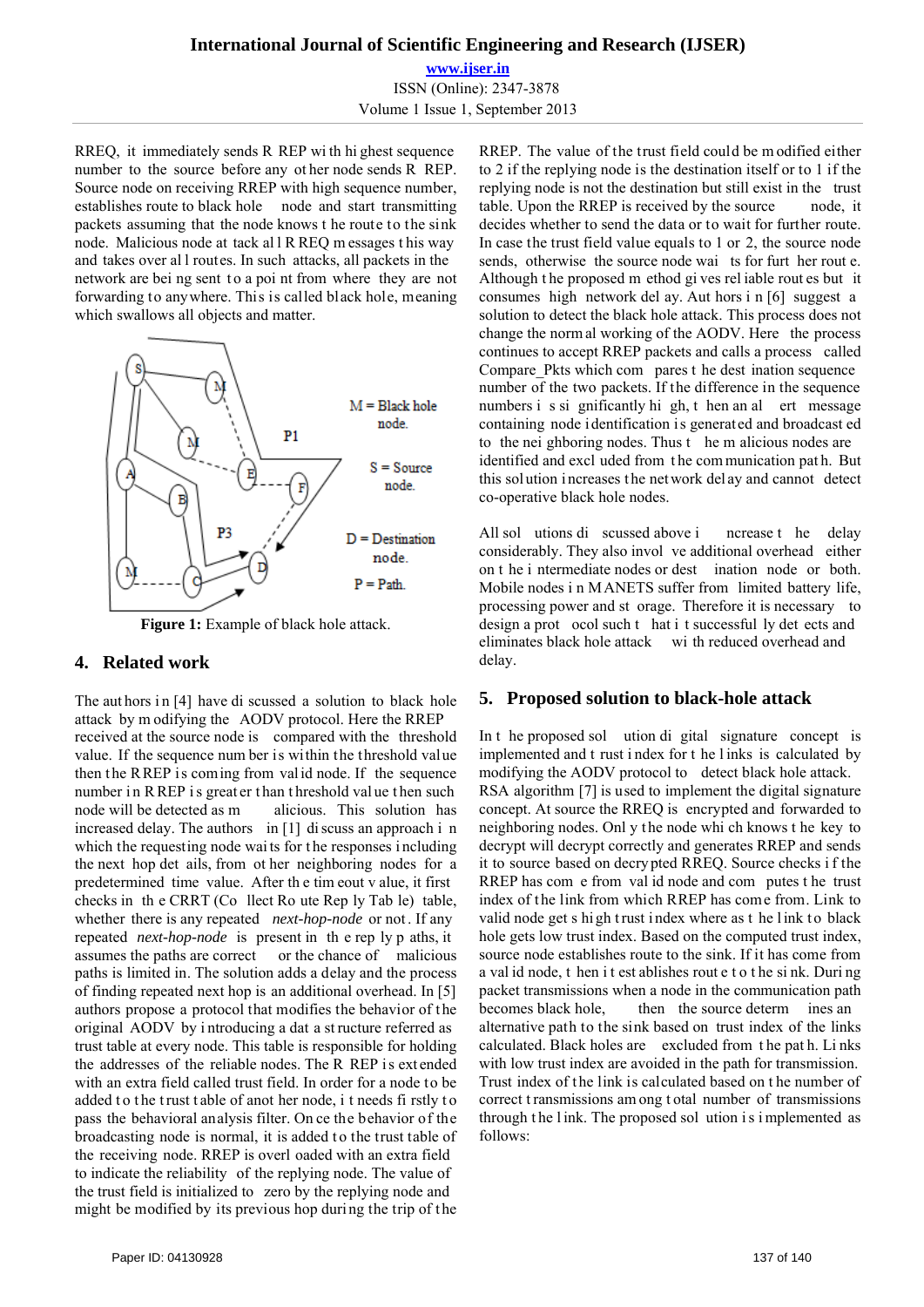**www.ijser.in** ISSN (Online): 2347-3878 Volume 1 Issue 1, September 2013

RREQ, it immediately sends R REP wi th hi ghest sequence number to the source before any ot her node sends R REP. Source node on receiving RREP with high sequence number, establishes route to black hole node and start transmitting packets assuming that the node knows t he route to the sink node. Malicious node at tack al l R REQ m essages t his way and takes over al l routes. In such attacks, all packets in the network are bei ng sent to a poi nt from where they are not forwarding to anywhere. This is called black hole, meaning which swallows all objects and matter.



**Figure 1:** Example of black hole attack.

#### **4. Related work**

The authors in [4] have di scussed a solution to black hole attack by m odifying the AODV protocol. Here the RREP received at the source node is compared with the threshold value. If the sequence num ber is within the threshold value then the RREP is coming from valid node. If the sequence number in R REP is great er than threshold value then such node will be detected as m alicious. This solution has increased delay. The authors in [1] di scuss an approach i n which the requesting node waits for the responses including the next hop det ails, from ot her neighboring nodes for a predetermined time value. After th e tim eout v alue, it first checks in th e CRRT (Co llect Ro ute Rep ly Tab le) table, whether there is any repeated *next-hop-node* or not . If any repeated *next-hop-node* is present in th e rep ly p aths, it assumes the paths are correct or the chance of malicious paths is limited in. The solution adds a delay and the process of finding repeated next hop is an additional overhead. In [5] authors propose a protocol that modifies the behavior of the original AODV by i ntroducing a dat a st ructure referred as trust table at every node. This table is responsible for holding the addresses of the reliable nodes. The R REP is extended with an extra field called trust field. In order for a node to be added to the trust table of anot her node, i t needs fi rstly to pass the behavioral analysis filter. On ce the behavior of the broadcasting node is normal, it is added t o the trust table of the receiving node. RREP is overl oaded with an extra field to indicate the reliability of the replying node. The value of the trust field is initialized to zero by the replying node and might be modified by its previous hop during the trip of the RREP. The value of the trust field could be m odified either to 2 if the replying node is the destination itself or to 1 if the replying node is not the destination but still exist in the trust table. Upon the RREP is received by the source node, it decides whether to send the data or to wait for further route. In case the trust field value equals to 1 or 2, the source node sends, otherwise the source node wai ts for furt her rout e. Although t he proposed m ethod gi ves rel iable rout es but it consumes high network del ay. Aut hors i n [6] suggest a solution to detect the black hole attack. This process does not change the norm al working of the AODV. Here the process continues to accept RREP packets and calls a process called Compare Pkts which com pares t he dest ination sequence number of the two packets. If the difference in the sequence numbers i s si gnificantly hi gh, t hen an al ert message containing node identification is generated and broadcast ed to the nei ghboring nodes. Thus t he m alicious nodes are identified and excl uded from t he com munication pat h. But this sol ution i ncreases t he net work del ay and cannot detect co-operative black hole nodes.

All sol utions di scussed above i ncrease t he delay considerably. They also invol ve additional overhead either on t he i ntermediate nodes or dest ination node or both. Mobile nodes i n MANETS suffer from limited battery life, processing power and st orage. Therefore it is necessary to design a prot ocol such t hat i t successful ly det ects and eliminates black hole attack wi th reduced overhead and delay.

#### **5. Proposed solution to black-hole attack**

In t he proposed sol ution di gital signature concept is implemented and t rust i ndex for t he l inks is calculated by modifying the AODV protocol to detect black hole attack. RSA algorithm [7] is used to implement the digital signature concept. At source the RREQ is encrypted and forwarded to neighboring nodes. Onl y t he node whi ch knows t he key to decrypt will decrypt correctly and generates RREP and sends it to source based on decrypted RREQ. Source checks i f the RREP has com e from val id node and com putes t he trust index of the link from which RREP has come from. Link to valid node get s high trust index where as t he link to black hole gets low trust index. Based on the computed trust index, source node establishes route to the sink. If it has come from a val id node, t hen i t est ablishes rout e t o t he si nk. Duri ng packet transmissions when a node in the communication path becomes black hole, then the source determ ines an alternative path to the sink based on trust index of the links calculated. Black holes are excluded from t he pat h. Li nks with low trust index are avoided in the path for transmission. Trust index of the link is calculated based on the number of correct t ransmissions am ong t otal number of transmissions through t he l ink. The proposed sol ution i s i mplemented as follows: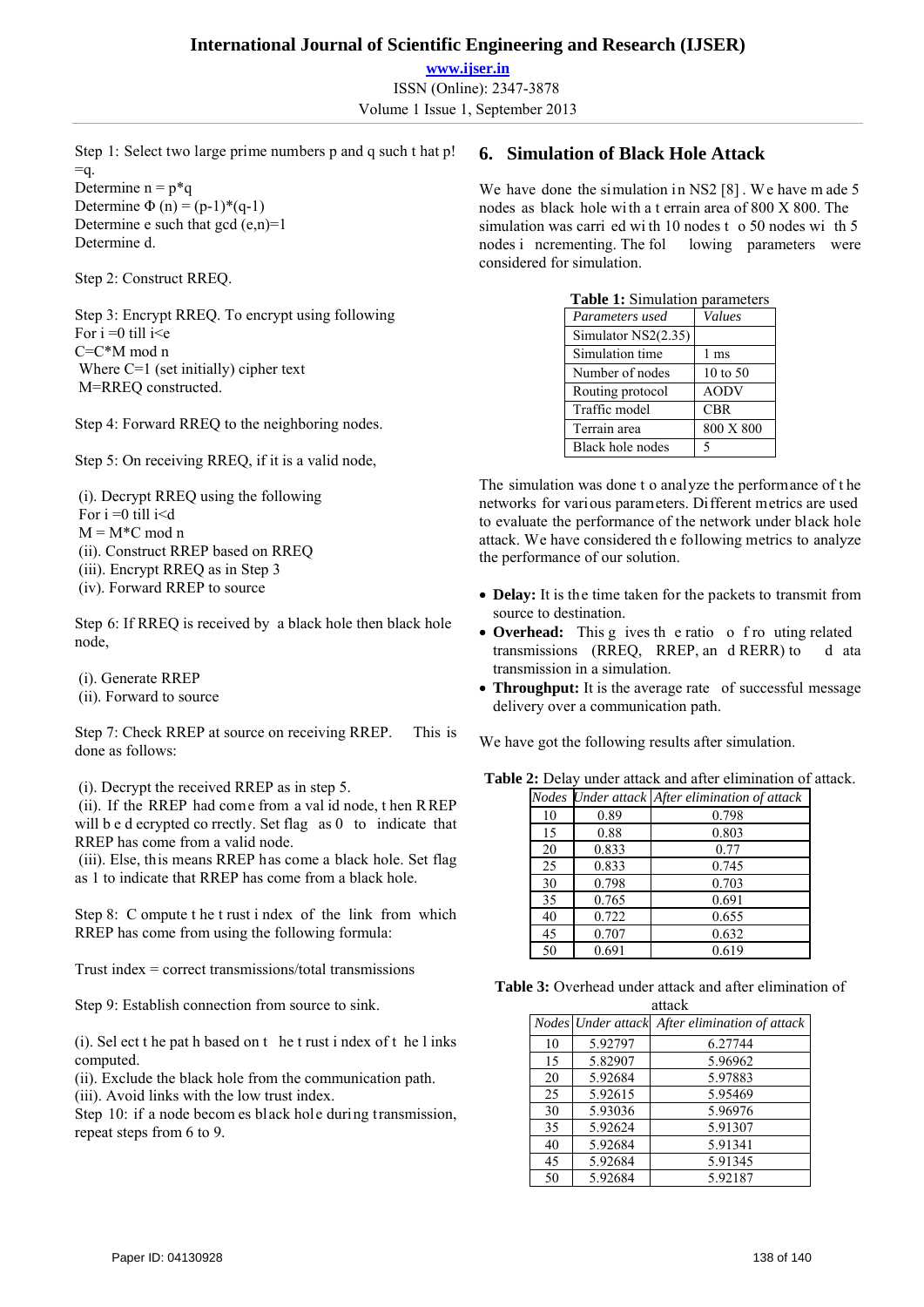**www.ijser.in** ISSN (Online): 2347-3878 Volume 1 Issue 1, September 2013

Step 1: Select two large prime numbers p and q such t hat p!  $=q$ .

Determine  $n = p^*q$ Determine  $\Phi(n) = (p-1)^*(q-1)$ Determine e such that gcd  $(e, n)=1$ Determine d.

Step 2: Construct RREQ.

Step 3: Encrypt RREQ. To encrypt using following For  $i = 0$  till  $i \leq e$ C=C\*M mod n Where C=1 (set initially) cipher text M=RREQ constructed.

Step 4: Forward RREQ to the neighboring nodes.

Step 5: On receiving RREQ, if it is a valid node,

 (i). Decrypt RREQ using the following For  $i = 0$  till  $i < d$  $M = M*C \mod n$  (ii). Construct RREP based on RREQ (iii). Encrypt RREQ as in Step 3 (iv). Forward RREP to source

Step 6: If RREO is received by a black hole then black hole node,

- (i). Generate RREP
- (ii). Forward to source

Step 7: Check RREP at source on receiving RREP. This is done as follows:

(i). Decrypt the received RREP as in step 5.

 (ii). If the RREP had come from a val id node, t hen RREP will b e d ecrypted co rrectly. Set flag as 0 to indicate that RREP has come from a valid node.

 (iii). Else, this means RREP has come a black hole. Set flag as 1 to indicate that RREP has come from a black hole.

Step 8: C ompute t he t rust i ndex of the link from which RREP has come from using the following formula:

Trust index = correct transmissions/total transmissions

Step 9: Establish connection from source to sink.

(i). Sel ect t he pat h based on t he t rust i ndex of t he l inks computed.

(ii). Exclude the black hole from the communication path. (iii). Avoid links with the low trust index.

Step 10: if a node becom es black hole during transmission,

repeat steps from 6 to 9.

## **6. Simulation of Black Hole Attack**

We have done the simulation in NS2 [8]. We have m ade 5 nodes as black hole wi th a t errain area of 800 X 800. The simulation was carri ed wi th 10 nodes t o 50 nodes wi th 5 nodes i ncrementing. The fol lowing parameters were considered for simulation.

| <b>Table 1:</b> Simulation parameters |                     |  |
|---------------------------------------|---------------------|--|
| Parameters used                       | Values              |  |
| Simulator $NS2(2.35)$                 |                     |  |
| Simulation time                       | 1 ms                |  |
| Number of nodes                       | $10 \text{ to } 50$ |  |
| Routing protocol                      | <b>AODV</b>         |  |
| Traffic model                         | CBR                 |  |
| Terrain area                          | 800 X 800           |  |
| Black hole nodes                      | 5                   |  |

The simulation was done t o analyze the performance of t he networks for various parameters. Different metrics are used to evaluate the performance of the network under black hole attack. We have considered th e following metrics to analyze the performance of our solution.

- **Delay:** It is the time taken for the packets to transmit from source to destination.
- Overhead: This g ives the ratio of routing related transmissions (RREQ, RREP, an d RERR) to d ata transmission in a simulation.
- **Throughput:** It is the average rate of successful message delivery over a communication path.

We have got the following results after simulation.

| <b>Table 2:</b> Delay under attack and after elimination of attack. |  |
|---------------------------------------------------------------------|--|
|---------------------------------------------------------------------|--|

|    |       | Nodes Under attack After elimination of attack |
|----|-------|------------------------------------------------|
| 10 | 0.89  | 0.798                                          |
| 15 | 0.88  | 0.803                                          |
| 20 | 0.833 | 0.77                                           |
| 25 | 0.833 | 0.745                                          |
| 30 | 0.798 | 0.703                                          |
| 35 | 0.765 | 0.691                                          |
| 40 | 0.722 | 0.655                                          |
| 45 | 0.707 | 0.632                                          |
| 50 | 0.691 | 0.619                                          |

**Table 3:** Overhead under attack and after elimination of  $atto$ 

| acacin |         |                                                |
|--------|---------|------------------------------------------------|
|        |         | Nodes Under attack After elimination of attack |
| 10     | 5.92797 | 6.27744                                        |
| 15     | 5.82907 | 5.96962                                        |
| 20     | 5.92684 | 5.97883                                        |
| 25     | 5.92615 | 5.95469                                        |
| 30     | 5.93036 | 5.96976                                        |
| 35     | 5.92624 | 5.91307                                        |
| 40     | 5.92684 | 5.91341                                        |
| 45     | 5.92684 | 5.91345                                        |
| 50     | 5.92684 | 5.92187                                        |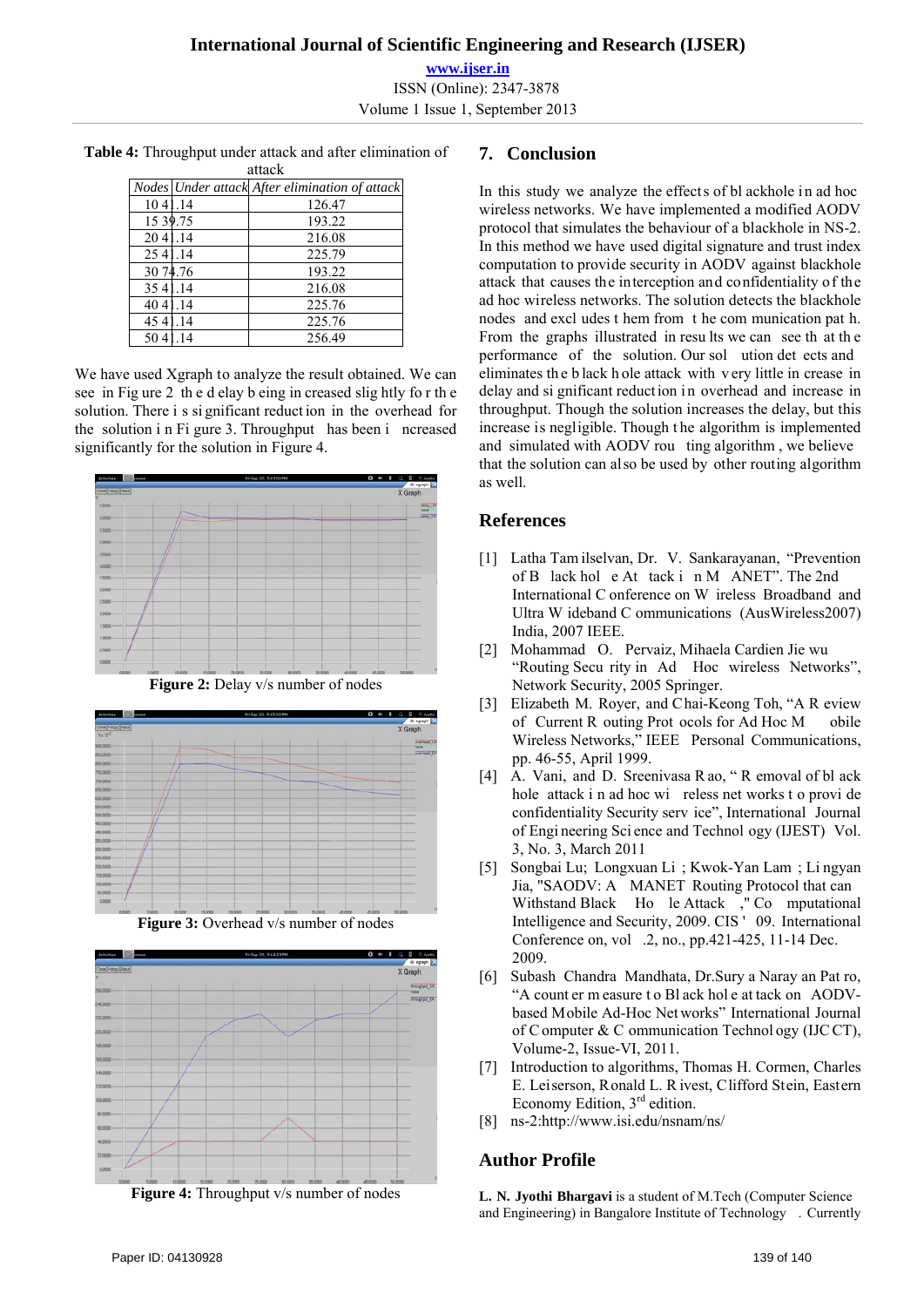| attack   |     |                                                |
|----------|-----|------------------------------------------------|
|          |     | Nodes Under attack After elimination of attack |
| 104      | -14 | 126.47                                         |
| 15 39.75 |     | 193.22                                         |
| 204      | .14 | 216.08                                         |
| 25 41.14 |     | 225.79                                         |
| 30 74.76 |     | 193.22                                         |
| 3541     | .14 | 216.08                                         |
| 404      | 14  | 225.76                                         |
| 454      | 14  | 225.76                                         |
|          |     | 256.49                                         |

**Table 4:** Throughput under attack and after elimination of

We have used Xgraph to analyze the result obtained. We can see in Fig ure 2 th e d elay b eing in creased slig htly fo r th e solution. There i s si gnificant reduct ion in the overhead for the solution i n Fi gure 3. Throughput has been i ncreased significantly for the solution in Figure 4.







**Figure 4:** Throughput v/s number of nodes

## **7. Conclusion**

In this study we analyze the effects of bl ackhole in ad hoc wireless networks. We have implemented a modified AODV protocol that simulates the behaviour of a blackhole in NS-2. In this method we have used digital signature and trust index computation to provide security in AODV against blackhole attack that causes the interception and confidentiality of the ad hoc wireless networks. The solution detects the blackhole nodes and excl udes t hem from t he com munication pat h. From the graphs illustrated in results we can see that the performance of the solution. Our sol ution det ects and eliminates th e b lack h ole attack with v ery little in crease in delay and si gnificant reduction in overhead and increase in throughput. Though the solution increases the delay, but this increase is negligible. Though t he algorithm is implemented and simulated with AODV rou ting algorithm , we believe that the solution can also be used by other routing algorithm as well.

#### **References**

- [1] Latha Tam ilselvan, Dr. V. Sankarayanan, "Prevention of B lack hol e At tack i n M ANET". The 2nd International C onference on W ireless Broadband and Ultra W ideband C ommunications (AusWireless2007) India, 2007 IEEE.
- [2] Mohammad O. Pervaiz, Mihaela Cardien Jie wu "Routing Secu rity in Ad Hoc wireless Networks", Network Security, 2005 Springer.
- [3] Elizabeth M. Royer, and Chai-Keong Toh, "A R eview of Current R outing Prot ocols for Ad Hoc M obile Wireless Networks," IEEE Personal Communications, pp. 46-55, April 1999.
- [4] A. Vani, and D. Sreenivasa R ao, " R emoval of bl ack hole attack i n ad hoc wi reless net works t o provi de confidentiality Security serv ice", International Journal of Engi neering Sci ence and Technol ogy (IJEST) Vol. 3, No. 3, March 2011
- [5] Songbai Lu; Longxuan Li ; Kwok-Yan Lam ; Li ngyan Jia, "SAODV: A MANET Routing Protocol that can Withstand Black Ho le Attack ," Co mputational Intelligence and Security, 2009. CIS ' 09. International Conference on, vol .2, no., pp.421-425, 11-14 Dec. 2009.
- [6] Subash Chandra Mandhata, Dr.Sury a Naray an Pat ro, "A count er m easure t o Bl ack hol e at tack on AODVbased Mobile Ad-Hoc Net works" International Journal of C omputer & C ommunication Technol ogy (IJC CT), Volume-2, Issue-VI, 2011.
- [7] Introduction to algorithms, Thomas H. Cormen, Charles E. Leiserson, Ronald L. R ivest, Clifford Stein, Eastern Economy Edition, 3rd edition.
- [8] ns-2:http://www.isi.edu/nsnam/ns/

#### **Author Profile**

**L. N. Jyothi Bhargavi** is a student of M.Tech (Computer Science and Engineering) in Bangalore Institute of Technology . Currently